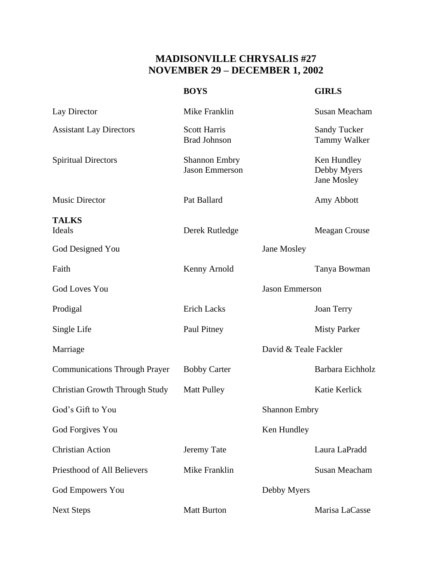## **MADISONVILLE CHRYSALIS #27 NOVEMBER 29 – DECEMBER 1, 2002**

|                                       | <b>BOYS</b>                                   |                      | <b>GIRLS</b>                               |
|---------------------------------------|-----------------------------------------------|----------------------|--------------------------------------------|
| Lay Director                          | Mike Franklin                                 |                      | Susan Meacham                              |
| <b>Assistant Lay Directors</b>        | <b>Scott Harris</b><br><b>Brad Johnson</b>    |                      | <b>Sandy Tucker</b><br><b>Tammy Walker</b> |
| <b>Spiritual Directors</b>            | <b>Shannon Embry</b><br><b>Jason Emmerson</b> |                      | Ken Hundley<br>Debby Myers<br>Jane Mosley  |
| <b>Music Director</b>                 | Pat Ballard                                   |                      | Amy Abbott                                 |
| <b>TALKS</b><br>Ideals                | Derek Rutledge                                |                      | Meagan Crouse                              |
| God Designed You                      |                                               | Jane Mosley          |                                            |
| Faith                                 | Kenny Arnold                                  |                      | Tanya Bowman                               |
| <b>God Loves You</b>                  | <b>Jason Emmerson</b>                         |                      |                                            |
| Prodigal                              | <b>Erich Lacks</b>                            |                      | Joan Terry                                 |
| Single Life                           | Paul Pitney                                   |                      | <b>Misty Parker</b>                        |
| Marriage                              | David & Teale Fackler                         |                      |                                            |
| <b>Communications Through Prayer</b>  | <b>Bobby Carter</b>                           |                      | Barbara Eichholz                           |
| <b>Christian Growth Through Study</b> | <b>Matt Pulley</b>                            |                      | Katie Kerlick                              |
| God's Gift to You                     |                                               | <b>Shannon Embry</b> |                                            |
| God Forgives You                      |                                               | Ken Hundley          |                                            |
| <b>Christian Action</b>               | Jeremy Tate                                   |                      | Laura LaPradd                              |
| Priesthood of All Believers           | Mike Franklin                                 |                      | Susan Meacham                              |
| <b>God Empowers You</b>               |                                               | Debby Myers          |                                            |
| <b>Next Steps</b>                     | <b>Matt Burton</b>                            |                      | Marisa LaCasse                             |